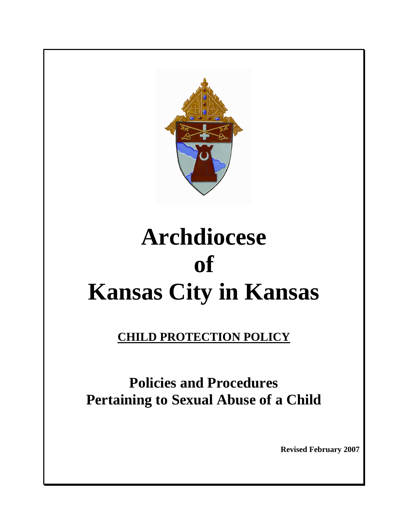

# **Archdiocese of Kansas City in Kansas**

# **CHILD PROTECTION POLICY**

# **Policies and Procedures Pertaining to Sexual Abuse of a Child**

**Revised February 2007**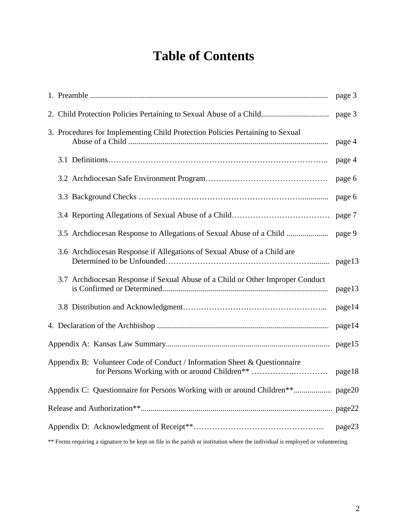# **Table of Contents**

|                                                                                                                                  | page 3 |  |  |  |  |
|----------------------------------------------------------------------------------------------------------------------------------|--------|--|--|--|--|
|                                                                                                                                  | page 3 |  |  |  |  |
| 3. Procedures for Implementing Child Protection Policies Pertaining to Sexual                                                    | page 4 |  |  |  |  |
|                                                                                                                                  | page 4 |  |  |  |  |
|                                                                                                                                  | page 6 |  |  |  |  |
|                                                                                                                                  | page 6 |  |  |  |  |
|                                                                                                                                  | page 7 |  |  |  |  |
| 3.5 Archdiocesan Response to Allegations of Sexual Abuse of a Child                                                              | page 9 |  |  |  |  |
| 3.6 Archdiocesan Response if Allegations of Sexual Abuse of a Child are                                                          | page13 |  |  |  |  |
| 3.7 Archdiocesan Response if Sexual Abuse of a Child or Other Improper Conduct                                                   | page13 |  |  |  |  |
|                                                                                                                                  | page14 |  |  |  |  |
|                                                                                                                                  | page14 |  |  |  |  |
|                                                                                                                                  | page15 |  |  |  |  |
| Appendix B: Volunteer Code of Conduct / Information Sheet & Questionnaire<br>for Persons Working with or around Children**       | page18 |  |  |  |  |
|                                                                                                                                  |        |  |  |  |  |
|                                                                                                                                  |        |  |  |  |  |
|                                                                                                                                  | page23 |  |  |  |  |
| ** Forms requiring a signature to be kept on file in the parish or institution where the individual is employed or volunteering. |        |  |  |  |  |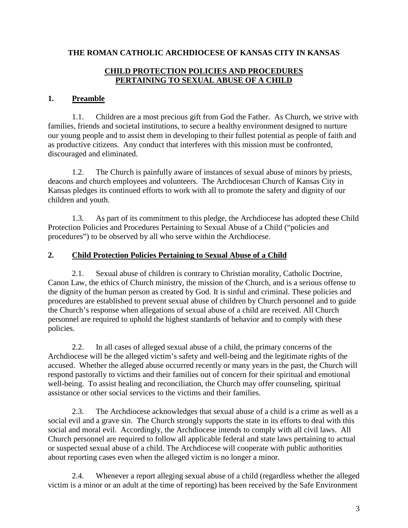#### **THE ROMAN CATHOLIC ARCHDIOCESE OF KANSAS CITY IN KANSAS**

#### **CHILD PROTECTION POLICIES AND PROCEDURES PERTAINING TO SEXUAL ABUSE OF A CHILD**

## **1. Preamble**

1.1. Children are a most precious gift from God the Father. As Church, we strive with families, friends and societal institutions, to secure a healthy environment designed to nurture our young people and to assist them in developing to their fullest potential as people of faith and as productive citizens. Any conduct that interferes with this mission must be confronted, discouraged and eliminated.

1.2. The Church is painfully aware of instances of sexual abuse of minors by priests, deacons and church employees and volunteers. The Archdiocesan Church of Kansas City in Kansas pledges its continued efforts to work with all to promote the safety and dignity of our children and youth.

1.3. As part of its commitment to this pledge, the Archdiocese has adopted these Child Protection Policies and Procedures Pertaining to Sexual Abuse of a Child ("policies and procedures") to be observed by all who serve within the Archdiocese.

### **2. Child Protection Policies Pertaining to Sexual Abuse of a Child**

2.1. Sexual abuse of children is contrary to Christian morality, Catholic Doctrine, Canon Law, the ethics of Church ministry, the mission of the Church, and is a serious offense to the dignity of the human person as created by God. It is sinful and criminal. These policies and procedures are established to prevent sexual abuse of children by Church personnel and to guide the Church's response when allegations of sexual abuse of a child are received. All Church personnel are required to uphold the highest standards of behavior and to comply with these policies.

2.2. In all cases of alleged sexual abuse of a child, the primary concerns of the Archdiocese will be the alleged victim's safety and well-being and the legitimate rights of the accused. Whether the alleged abuse occurred recently or many years in the past, the Church will respond pastorally to victims and their families out of concern for their spiritual and emotional well-being. To assist healing and reconciliation, the Church may offer counseling, spiritual assistance or other social services to the victims and their families.

2.3. The Archdiocese acknowledges that sexual abuse of a child is a crime as well as a social evil and a grave sin. The Church strongly supports the state in its efforts to deal with this social and moral evil. Accordingly, the Archdiocese intends to comply with all civil laws. All Church personnel are required to follow all applicable federal and state laws pertaining to actual or suspected sexual abuse of a child. The Archdiocese will cooperate with public authorities about reporting cases even when the alleged victim is no longer a minor.

2.4. Whenever a report alleging sexual abuse of a child (regardless whether the alleged victim is a minor or an adult at the time of reporting) has been received by the Safe Environment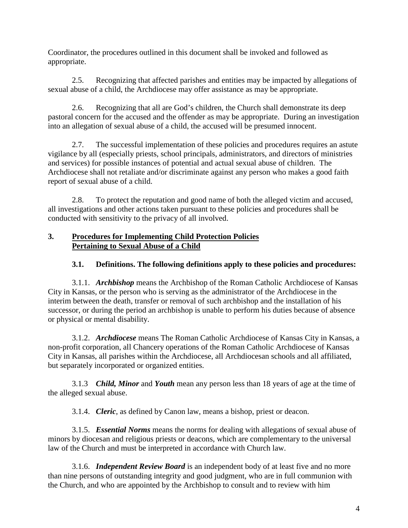Coordinator, the procedures outlined in this document shall be invoked and followed as appropriate.

2.5. Recognizing that affected parishes and entities may be impacted by allegations of sexual abuse of a child, the Archdiocese may offer assistance as may be appropriate.

2.6. Recognizing that all are God's children, the Church shall demonstrate its deep pastoral concern for the accused and the offender as may be appropriate. During an investigation into an allegation of sexual abuse of a child, the accused will be presumed innocent.

2.7. The successful implementation of these policies and procedures requires an astute vigilance by all (especially priests, school principals, administrators, and directors of ministries and services) for possible instances of potential and actual sexual abuse of children. The Archdiocese shall not retaliate and/or discriminate against any person who makes a good faith report of sexual abuse of a child.

2.8. To protect the reputation and good name of both the alleged victim and accused, all investigations and other actions taken pursuant to these policies and procedures shall be conducted with sensitivity to the privacy of all involved.

# **3. Procedures for Implementing Child Protection Policies Pertaining to Sexual Abuse of a Child**

# **3.1. Definitions. The following definitions apply to these policies and procedures:**

3.1.1. *Archbishop* means the Archbishop of the Roman Catholic Archdiocese of Kansas City in Kansas, or the person who is serving as the administrator of the Archdiocese in the interim between the death, transfer or removal of such archbishop and the installation of his successor, or during the period an archbishop is unable to perform his duties because of absence or physical or mental disability.

3.1.2. *Archdiocese* means The Roman Catholic Archdiocese of Kansas City in Kansas, a non-profit corporation, all Chancery operations of the Roman Catholic Archdiocese of Kansas City in Kansas, all parishes within the Archdiocese, all Archdiocesan schools and all affiliated, but separately incorporated or organized entities.

3.1.3 *Child, Minor* and *Youth* mean any person less than 18 years of age at the time of the alleged sexual abuse.

3.1.4. *Cleric*, as defined by Canon law, means a bishop, priest or deacon.

3.1.5. *Essential Norms* means the norms for dealing with allegations of sexual abuse of minors by diocesan and religious priests or deacons, which are complementary to the universal law of the Church and must be interpreted in accordance with Church law.

3.1.6. *Independent Review Board* is an independent body of at least five and no more than nine persons of outstanding integrity and good judgment, who are in full communion with the Church, and who are appointed by the Archbishop to consult and to review with him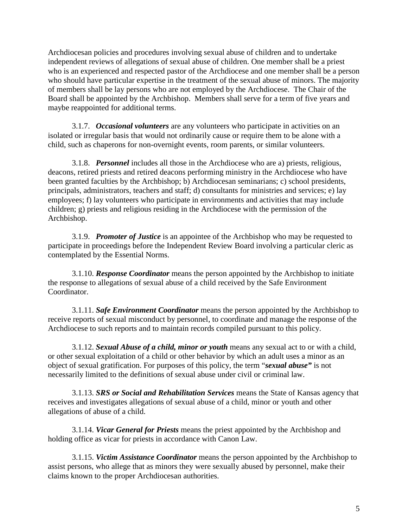Archdiocesan policies and procedures involving sexual abuse of children and to undertake independent reviews of allegations of sexual abuse of children. One member shall be a priest who is an experienced and respected pastor of the Archdiocese and one member shall be a person who should have particular expertise in the treatment of the sexual abuse of minors. The majority of members shall be lay persons who are not employed by the Archdiocese. The Chair of the Board shall be appointed by the Archbishop. Members shall serve for a term of five years and maybe reappointed for additional terms.

3.1.7. *Occasional volunteers* are any volunteers who participate in activities on an isolated or irregular basis that would not ordinarily cause or require them to be alone with a child, such as chaperons for non-overnight events, room parents, or similar volunteers.

3.1.8. *Personnel* includes all those in the Archdiocese who are a) priests, religious, deacons, retired priests and retired deacons performing ministry in the Archdiocese who have been granted faculties by the Archbishop; b) Archdiocesan seminarians; c) school presidents, principals, administrators, teachers and staff; d) consultants for ministries and services; e) lay employees; f) lay volunteers who participate in environments and activities that may include children; g) priests and religious residing in the Archdiocese with the permission of the Archbishop.

3.1.9. *Promoter of Justice* is an appointee of the Archbishop who may be requested to participate in proceedings before the Independent Review Board involving a particular cleric as contemplated by the Essential Norms.

3.1.10. *Response Coordinator* means the person appointed by the Archbishop to initiate the response to allegations of sexual abuse of a child received by the Safe Environment Coordinator.

3.1.11. *Safe Environment Coordinator* means the person appointed by the Archbishop to receive reports of sexual misconduct by personnel, to coordinate and manage the response of the Archdiocese to such reports and to maintain records compiled pursuant to this policy.

3.1.12. *Sexual Abuse of a child, minor or youth* means any sexual act to or with a child, or other sexual exploitation of a child or other behavior by which an adult uses a minor as an object of sexual gratification. For purposes of this policy, the term "*sexual abuse"* is not necessarily limited to the definitions of sexual abuse under civil or criminal law.

3.1.13. *SRS or Social and Rehabilitation Services* means the State of Kansas agency that receives and investigates allegations of sexual abuse of a child, minor or youth and other allegations of abuse of a child.

3.1.14. *Vicar General for Priests* means the priest appointed by the Archbishop and holding office as vicar for priests in accordance with Canon Law.

3.1.15. *Victim Assistance Coordinator* means the person appointed by the Archbishop to assist persons, who allege that as minors they were sexually abused by personnel, make their claims known to the proper Archdiocesan authorities.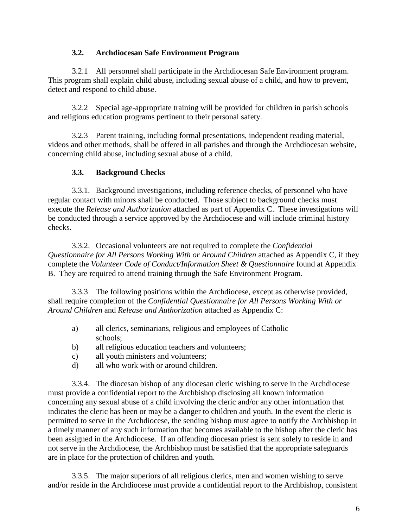#### **3.2. Archdiocesan Safe Environment Program**

3.2.1 All personnel shall participate in the Archdiocesan Safe Environment program. This program shall explain child abuse, including sexual abuse of a child, and how to prevent, detect and respond to child abuse.

3.2.2 Special age-appropriate training will be provided for children in parish schools and religious education programs pertinent to their personal safety.

3.2.3 Parent training, including formal presentations, independent reading material, videos and other methods, shall be offered in all parishes and through the Archdiocesan website, concerning child abuse, including sexual abuse of a child.

# **3.3. Background Checks**

3.3.1. Background investigations, including reference checks, of personnel who have regular contact with minors shall be conducted. Those subject to background checks must execute the *Release and Authorization* attached as part of Appendix C. These investigations will be conducted through a service approved by the Archdiocese and will include criminal history checks.

3.3.2. Occasional volunteers are not required to complete the *Confidential Questionnaire for All Persons Working With or Around Children* attached as Appendix C, if they complete the *Volunteer Code of Conduct/Information Sheet & Questionnaire* found at Appendix B. They are required to attend training through the Safe Environment Program.

3.3.3 The following positions within the Archdiocese, except as otherwise provided, shall require completion of the *Confidential Questionnaire for All Persons Working With or Around Children* and *Release and Authorization* attached as Appendix C:

- a) all clerics, seminarians, religious and employees of Catholic schools;
- b) all religious education teachers and volunteers;
- c) all youth ministers and volunteers;
- d) all who work with or around children.

3.3.4. The diocesan bishop of any diocesan cleric wishing to serve in the Archdiocese must provide a confidential report to the Archbishop disclosing all known information concerning any sexual abuse of a child involving the cleric and/or any other information that indicates the cleric has been or may be a danger to children and youth. In the event the cleric is permitted to serve in the Archdiocese, the sending bishop must agree to notify the Archbishop in a timely manner of any such information that becomes available to the bishop after the cleric has been assigned in the Archdiocese. If an offending diocesan priest is sent solely to reside in and not serve in the Archdiocese, the Archbishop must be satisfied that the appropriate safeguards are in place for the protection of children and youth.

3.3.5. The major superiors of all religious clerics, men and women wishing to serve and/or reside in the Archdiocese must provide a confidential report to the Archbishop, consistent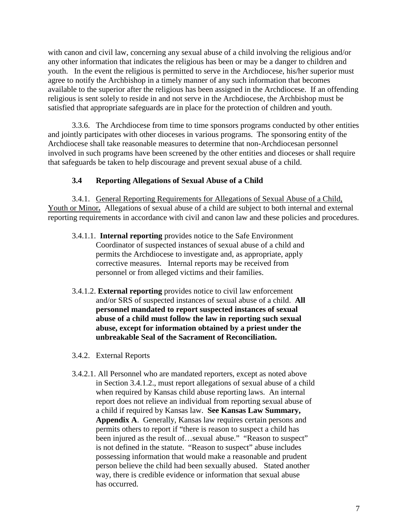with canon and civil law, concerning any sexual abuse of a child involving the religious and/or any other information that indicates the religious has been or may be a danger to children and youth. In the event the religious is permitted to serve in the Archdiocese, his/her superior must agree to notify the Archbishop in a timely manner of any such information that becomes available to the superior after the religious has been assigned in the Archdiocese. If an offending religious is sent solely to reside in and not serve in the Archdiocese, the Archbishop must be satisfied that appropriate safeguards are in place for the protection of children and youth.

3.3.6. The Archdiocese from time to time sponsors programs conducted by other entities and jointly participates with other dioceses in various programs. The sponsoring entity of the Archdiocese shall take reasonable measures to determine that non-Archdiocesan personnel involved in such programs have been screened by the other entities and dioceses or shall require that safeguards be taken to help discourage and prevent sexual abuse of a child.

#### **3.4 Reporting Allegations of Sexual Abuse of a Child**

3.4.1. General Reporting Requirements for Allegations of Sexual Abuse of a Child, Youth or Minor. Allegations of sexual abuse of a child are subject to both internal and external reporting requirements in accordance with civil and canon law and these policies and procedures.

- 3.4.1.1. **Internal reporting** provides notice to the Safe Environment Coordinator of suspected instances of sexual abuse of a child and permits the Archdiocese to investigate and, as appropriate, apply corrective measures. Internal reports may be received from personnel or from alleged victims and their families.
- 3.4.1.2. **External reporting** provides notice to civil law enforcement and/or SRS of suspected instances of sexual abuse of a child. **All personnel mandated to report suspected instances of sexual abuse of a child must follow the law in reporting such sexual abuse, except for information obtained by a priest under the unbreakable Seal of the Sacrament of Reconciliation.**
- 3.4.2. External Reports
- 3.4.2.1. All Personnel who are mandated reporters, except as noted above in Section 3.4.1.2., must report allegations of sexual abuse of a child when required by Kansas child abuse reporting laws. An internal report does not relieve an individual from reporting sexual abuse of a child if required by Kansas law. **See Kansas Law Summary, Appendix A**. Generally, Kansas law requires certain persons and permits others to report if "there is reason to suspect a child has been injured as the result of...sexual abuse." "Reason to suspect" is not defined in the statute. "Reason to suspect" abuse includes possessing information that would make a reasonable and prudent person believe the child had been sexually abused. Stated another way, there is credible evidence or information that sexual abuse has occurred.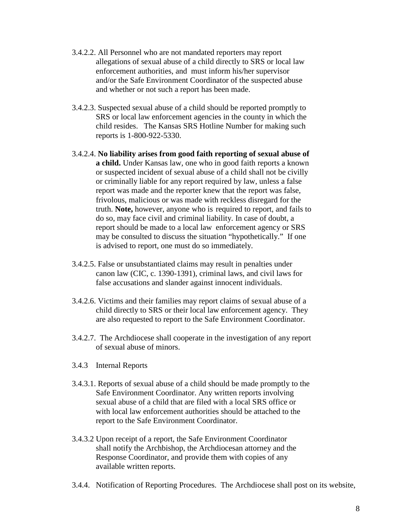- 3.4.2.2. All Personnel who are not mandated reporters may report allegations of sexual abuse of a child directly to SRS or local law enforcement authorities, and must inform his/her supervisor and/or the Safe Environment Coordinator of the suspected abuse and whether or not such a report has been made.
- 3.4.2.3. Suspected sexual abuse of a child should be reported promptly to SRS or local law enforcement agencies in the county in which the child resides. The Kansas SRS Hotline Number for making such reports is 1-800-922-5330.
- 3.4.2.4. **No liability arises from good faith reporting of sexual abuse of a child.** Under Kansas law, one who in good faith reports a known or suspected incident of sexual abuse of a child shall not be civilly or criminally liable for any report required by law, unless a false report was made and the reporter knew that the report was false, frivolous, malicious or was made with reckless disregard for the truth. **Note,** however, anyone who is required to report, and fails to do so, may face civil and criminal liability. In case of doubt, a report should be made to a local law enforcement agency or SRS may be consulted to discuss the situation "hypothetically." If one is advised to report, one must do so immediately.
- 3.4.2.5. False or unsubstantiated claims may result in penalties under canon law (CIC, c. 1390-1391), criminal laws, and civil laws for false accusations and slander against innocent individuals.
- 3.4.2.6. Victims and their families may report claims of sexual abuse of a child directly to SRS or their local law enforcement agency. They are also requested to report to the Safe Environment Coordinator.
- 3.4.2.7. The Archdiocese shall cooperate in the investigation of any report of sexual abuse of minors.
- 3.4.3 Internal Reports
- 3.4.3.1. Reports of sexual abuse of a child should be made promptly to the Safe Environment Coordinator. Any written reports involving sexual abuse of a child that are filed with a local SRS office or with local law enforcement authorities should be attached to the report to the Safe Environment Coordinator.
- 3.4.3.2 Upon receipt of a report, the Safe Environment Coordinator shall notify the Archbishop, the Archdiocesan attorney and the Response Coordinator, and provide them with copies of any available written reports.
- 3.4.4. Notification of Reporting Procedures. The Archdiocese shall post on its website,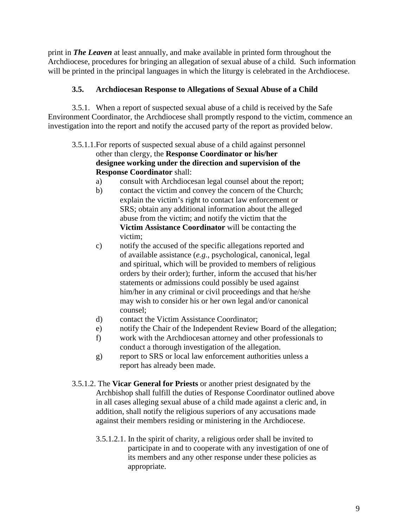print in *The Leaven* at least annually, and make available in printed form throughout the Archdiocese, procedures for bringing an allegation of sexual abuse of a child. Such information will be printed in the principal languages in which the liturgy is celebrated in the Archdiocese.

## **3.5. Archdiocesan Response to Allegations of Sexual Abuse of a Child**

3.5.1. When a report of suspected sexual abuse of a child is received by the Safe Environment Coordinator, the Archdiocese shall promptly respond to the victim, commence an investigation into the report and notify the accused party of the report as provided below.

- 3.5.1.1.For reports of suspected sexual abuse of a child against personnel other than clergy, the **Response Coordinator or his/her designee working under the direction and supervision of the Response Coordinator** shall:
	- a) consult with Archdiocesan legal counsel about the report;
	- b) contact the victim and convey the concern of the Church; explain the victim's right to contact law enforcement or SRS; obtain any additional information about the alleged abuse from the victim; and notify the victim that the **Victim Assistance Coordinator** will be contacting the victim;
	- c) notify the accused of the specific allegations reported and of available assistance (*e.g.,* psychological, canonical, legal and spiritual, which will be provided to members of religious orders by their order); further, inform the accused that his/her statements or admissions could possibly be used against him/her in any criminal or civil proceedings and that he/she may wish to consider his or her own legal and/or canonical counsel;
	- d) contact the Victim Assistance Coordinator;
	- e) notify the Chair of the Independent Review Board of the allegation;
	- f) work with the Archdiocesan attorney and other professionals to conduct a thorough investigation of the allegation.
	- g) report to SRS or local law enforcement authorities unless a report has already been made.
- 3.5.1.2. The **Vicar General for Priests** or another priest designated by the Archbishop shall fulfill the duties of Response Coordinator outlined above in all cases alleging sexual abuse of a child made against a cleric and, in addition, shall notify the religious superiors of any accusations made against their members residing or ministering in the Archdiocese.
	- 3.5.1.2.1. In the spirit of charity, a religious order shall be invited to participate in and to cooperate with any investigation of one of its members and any other response under these policies as appropriate.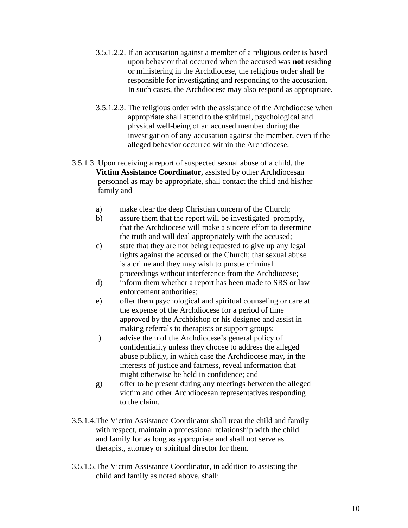- 3.5.1.2.2. If an accusation against a member of a religious order is based upon behavior that occurred when the accused was **not** residing or ministering in the Archdiocese, the religious order shall be responsible for investigating and responding to the accusation. In such cases, the Archdiocese may also respond as appropriate.
- 3.5.1.2.3. The religious order with the assistance of the Archdiocese when appropriate shall attend to the spiritual, psychological and physical well-being of an accused member during the investigation of any accusation against the member, even if the alleged behavior occurred within the Archdiocese.
- 3.5.1.3. Upon receiving a report of suspected sexual abuse of a child, the **Victim Assistance Coordinator,** assisted by other Archdiocesan personnel as may be appropriate, shall contact the child and his/her family and
	- a) make clear the deep Christian concern of the Church;
	- b) assure them that the report will be investigated promptly, that the Archdiocese will make a sincere effort to determine the truth and will deal appropriately with the accused;
	- c) state that they are not being requested to give up any legal rights against the accused or the Church; that sexual abuse is a crime and they may wish to pursue criminal proceedings without interference from the Archdiocese;
	- d) inform them whether a report has been made to SRS or law enforcement authorities;
	- e) offer them psychological and spiritual counseling or care at the expense of the Archdiocese for a period of time approved by the Archbishop or his designee and assist in making referrals to therapists or support groups;
	- f) advise them of the Archdiocese's general policy of confidentiality unless they choose to address the alleged abuse publicly, in which case the Archdiocese may, in the interests of justice and fairness, reveal information that might otherwise be held in confidence; and
	- g) offer to be present during any meetings between the alleged victim and other Archdiocesan representatives responding to the claim.
- 3.5.1.4.The Victim Assistance Coordinator shall treat the child and family with respect, maintain a professional relationship with the child and family for as long as appropriate and shall not serve as therapist, attorney or spiritual director for them.
- 3.5.1.5.The Victim Assistance Coordinator, in addition to assisting the child and family as noted above, shall: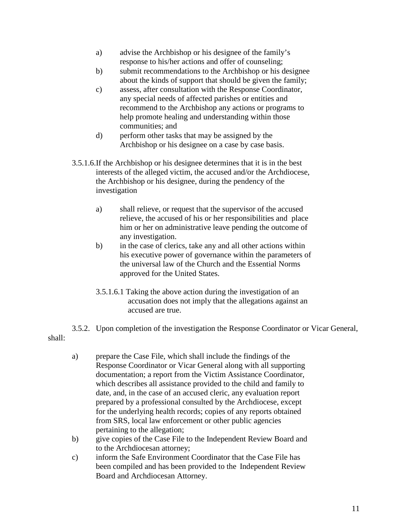- a) advise the Archbishop or his designee of the family's response to his/her actions and offer of counseling;
- b) submit recommendations to the Archbishop or his designee about the kinds of support that should be given the family;
- c) assess, after consultation with the Response Coordinator, any special needs of affected parishes or entities and recommend to the Archbishop any actions or programs to help promote healing and understanding within those communities; and
- d) perform other tasks that may be assigned by the Archbishop or his designee on a case by case basis.
- 3.5.1.6.If the Archbishop or his designee determines that it is in the best interests of the alleged victim, the accused and/or the Archdiocese, the Archbishop or his designee, during the pendency of the investigation
	- a) shall relieve, or request that the supervisor of the accused relieve, the accused of his or her responsibilities and place him or her on administrative leave pending the outcome of any investigation.
	- b) in the case of clerics, take any and all other actions within his executive power of governance within the parameters of the universal law of the Church and the Essential Norms approved for the United States.
	- 3.5.1.6.1 Taking the above action during the investigation of an accusation does not imply that the allegations against an accused are true.

3.5.2. Upon completion of the investigation the Response Coordinator or Vicar General, shall:

- a) prepare the Case File, which shall include the findings of the Response Coordinator or Vicar General along with all supporting documentation; a report from the Victim Assistance Coordinator, which describes all assistance provided to the child and family to date, and, in the case of an accused cleric, any evaluation report prepared by a professional consulted by the Archdiocese, except for the underlying health records; copies of any reports obtained from SRS, local law enforcement or other public agencies pertaining to the allegation;
- b) give copies of the Case File to the Independent Review Board and to the Archdiocesan attorney;
- c) inform the Safe Environment Coordinator that the Case File has been compiled and has been provided to the Independent Review Board and Archdiocesan Attorney.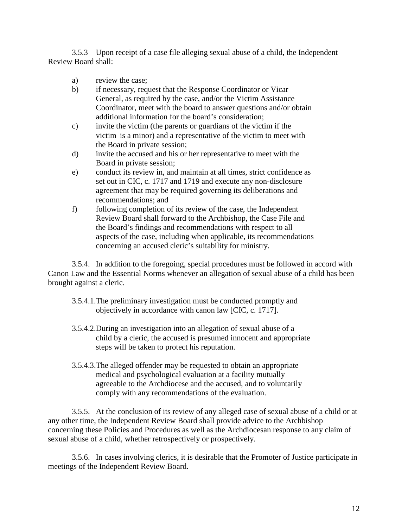3.5.3 Upon receipt of a case file alleging sexual abuse of a child, the Independent Review Board shall:

- a) review the case;
- b) if necessary, request that the Response Coordinator or Vicar General, as required by the case, and/or the Victim Assistance Coordinator, meet with the board to answer questions and/or obtain additional information for the board's consideration;
- c) invite the victim (the parents or guardians of the victim if the victim is a minor) and a representative of the victim to meet with the Board in private session;
- d) invite the accused and his or her representative to meet with the Board in private session;
- e) conduct its review in, and maintain at all times, strict confidence as set out in CIC, c. 1717 and 1719 and execute any non-disclosure agreement that may be required governing its deliberations and recommendations; and
- f) following completion of its review of the case, the Independent Review Board shall forward to the Archbishop, the Case File and the Board's findings and recommendations with respect to all aspects of the case, including when applicable, its recommendations concerning an accused cleric's suitability for ministry.

3.5.4. In addition to the foregoing, special procedures must be followed in accord with Canon Law and the Essential Norms whenever an allegation of sexual abuse of a child has been brought against a cleric.

- 3.5.4.1.The preliminary investigation must be conducted promptly and objectively in accordance with canon law [CIC, c. 1717].
- 3.5.4.2.During an investigation into an allegation of sexual abuse of a child by a cleric, the accused is presumed innocent and appropriate steps will be taken to protect his reputation.
- 3.5.4.3.The alleged offender may be requested to obtain an appropriate medical and psychological evaluation at a facility mutually agreeable to the Archdiocese and the accused, and to voluntarily comply with any recommendations of the evaluation.

3.5.5. At the conclusion of its review of any alleged case of sexual abuse of a child or at any other time, the Independent Review Board shall provide advice to the Archbishop concerning these Policies and Procedures as well as the Archdiocesan response to any claim of sexual abuse of a child, whether retrospectively or prospectively.

3.5.6. In cases involving clerics, it is desirable that the Promoter of Justice participate in meetings of the Independent Review Board.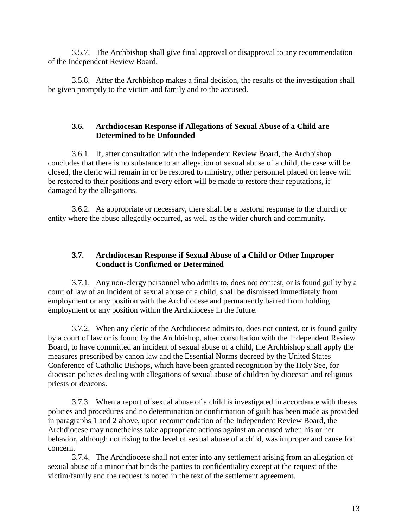3.5.7. The Archbishop shall give final approval or disapproval to any recommendation of the Independent Review Board.

3.5.8. After the Archbishop makes a final decision, the results of the investigation shall be given promptly to the victim and family and to the accused.

#### **3.6. Archdiocesan Response if Allegations of Sexual Abuse of a Child are Determined to be Unfounded**

3.6.1. If, after consultation with the Independent Review Board, the Archbishop concludes that there is no substance to an allegation of sexual abuse of a child, the case will be closed, the cleric will remain in or be restored to ministry, other personnel placed on leave will be restored to their positions and every effort will be made to restore their reputations, if damaged by the allegations.

3.6.2. As appropriate or necessary, there shall be a pastoral response to the church or entity where the abuse allegedly occurred, as well as the wider church and community.

#### **3.7. Archdiocesan Response if Sexual Abuse of a Child or Other Improper Conduct is Confirmed or Determined**

3.7.1. Any non-clergy personnel who admits to, does not contest, or is found guilty by a court of law of an incident of sexual abuse of a child, shall be dismissed immediately from employment or any position with the Archdiocese and permanently barred from holding employment or any position within the Archdiocese in the future.

3.7.2. When any cleric of the Archdiocese admits to, does not contest, or is found guilty by a court of law or is found by the Archbishop, after consultation with the Independent Review Board, to have committed an incident of sexual abuse of a child, the Archbishop shall apply the measures prescribed by canon law and the Essential Norms decreed by the United States Conference of Catholic Bishops, which have been granted recognition by the Holy See, for diocesan policies dealing with allegations of sexual abuse of children by diocesan and religious priests or deacons.

3.7.3. When a report of sexual abuse of a child is investigated in accordance with theses policies and procedures and no determination or confirmation of guilt has been made as provided in paragraphs 1 and 2 above, upon recommendation of the Independent Review Board, the Archdiocese may nonetheless take appropriate actions against an accused when his or her behavior, although not rising to the level of sexual abuse of a child, was improper and cause for concern.

3.7.4. The Archdiocese shall not enter into any settlement arising from an allegation of sexual abuse of a minor that binds the parties to confidentiality except at the request of the victim/family and the request is noted in the text of the settlement agreement.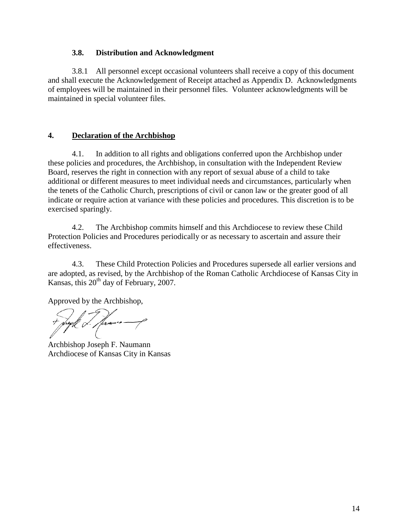#### **3.8. Distribution and Acknowledgment**

3.8.1 All personnel except occasional volunteers shall receive a copy of this document and shall execute the Acknowledgement of Receipt attached as Appendix D. Acknowledgments of employees will be maintained in their personnel files. Volunteer acknowledgments will be maintained in special volunteer files.

#### **4. Declaration of the Archbishop**

4.1. In addition to all rights and obligations conferred upon the Archbishop under these policies and procedures, the Archbishop, in consultation with the Independent Review Board, reserves the right in connection with any report of sexual abuse of a child to take additional or different measures to meet individual needs and circumstances, particularly when the tenets of the Catholic Church, prescriptions of civil or canon law or the greater good of all indicate or require action at variance with these policies and procedures. This discretion is to be exercised sparingly.

4.2. The Archbishop commits himself and this Archdiocese to review these Child Protection Policies and Procedures periodically or as necessary to ascertain and assure their effectiveness.

4.3. These Child Protection Policies and Procedures supersede all earlier versions and are adopted, as revised, by the Archbishop of the Roman Catholic Archdiocese of Kansas City in Kansas, this  $20<sup>th</sup>$  day of February, 2007.

Approved by the Archbishop,

ugll L. Hamme

Archbishop Joseph F. Naumann Archdiocese of Kansas City in Kansas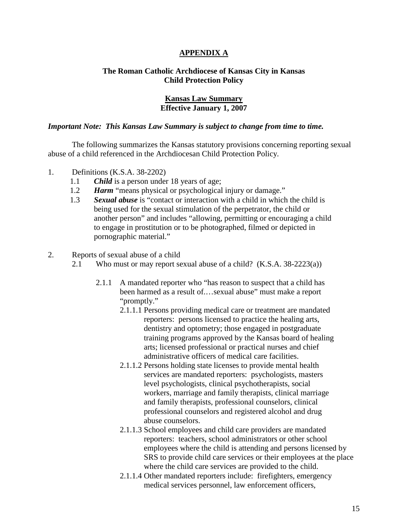#### **APPENDIX A**

#### **The Roman Catholic Archdiocese of Kansas City in Kansas Child Protection Policy**

#### **Kansas Law Summary Effective January 1, 2007**

#### *Important Note: This Kansas Law Summary is subject to change from time to time.*

The following summarizes the Kansas statutory provisions concerning reporting sexual abuse of a child referenced in the Archdiocesan Child Protection Policy.

- 1. Definitions (K.S.A. 38-2202)
	- 1.1 *Child* is a person under 18 years of age;
	- 1.2 *Harm* "means physical or psychological injury or damage."
	- 1.3 *Sexual abuse* is "contact or interaction with a child in which the child is being used for the sexual stimulation of the perpetrator, the child or another person" and includes "allowing, permitting or encouraging a child to engage in prostitution or to be photographed, filmed or depicted in pornographic material."
- 2. Reports of sexual abuse of a child
	- 2.1 Who must or may report sexual abuse of a child? (K.S.A. 38-2223(a))
		- 2.1.1 A mandated reporter who "has reason to suspect that a child has been harmed as a result of.…sexual abuse" must make a report "promptly."
			- 2.1.1.1 Persons providing medical care or treatment are mandated reporters: persons licensed to practice the healing arts, dentistry and optometry; those engaged in postgraduate training programs approved by the Kansas board of healing arts; licensed professional or practical nurses and chief administrative officers of medical care facilities.
			- 2.1.1.2 Persons holding state licenses to provide mental health services are mandated reporters: psychologists, masters level psychologists, clinical psychotherapists, social workers, marriage and family therapists, clinical marriage and family therapists, professional counselors, clinical professional counselors and registered alcohol and drug abuse counselors.
			- 2.1.1.3 School employees and child care providers are mandated reporters: teachers, school administrators or other school employees where the child is attending and persons licensed by SRS to provide child care services or their employees at the place where the child care services are provided to the child.
			- 2.1.1.4 Other mandated reporters include: firefighters, emergency medical services personnel, law enforcement officers,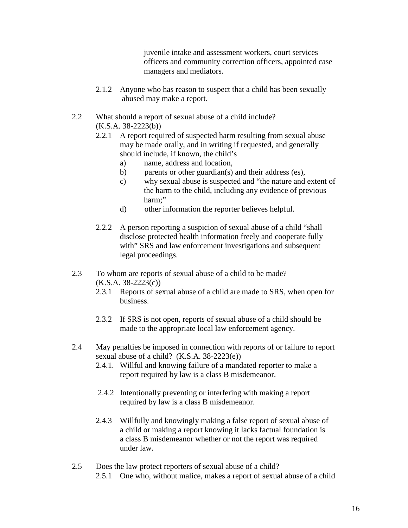juvenile intake and assessment workers, court services officers and community correction officers, appointed case managers and mediators.

- 2.1.2 Anyone who has reason to suspect that a child has been sexually abused may make a report.
- 2.2 What should a report of sexual abuse of a child include?  $(K.S.A. 38-2223(b))$ 
	- 2.2.1 A report required of suspected harm resulting from sexual abuse may be made orally, and in writing if requested, and generally should include, if known, the child's
		- a) name, address and location,
		- b) parents or other guardian(s) and their address (es),
		- c) why sexual abuse is suspected and "the nature and extent of the harm to the child, including any evidence of previous harm;"
		- d) other information the reporter believes helpful.
	- 2.2.2 A person reporting a suspicion of sexual abuse of a child "shall disclose protected health information freely and cooperate fully with" SRS and law enforcement investigations and subsequent legal proceedings.
- 2.3 To whom are reports of sexual abuse of a child to be made?  $(K.S.A. 38-2223(c))$ 
	- 2.3.1 Reports of sexual abuse of a child are made to SRS, when open for business.
	- 2.3.2 If SRS is not open, reports of sexual abuse of a child should be made to the appropriate local law enforcement agency.
- 2.4 May penalties be imposed in connection with reports of or failure to report sexual abuse of a child? (K.S.A. 38-2223(e))
	- 2.4.1. Willful and knowing failure of a mandated reporter to make a report required by law is a class B misdemeanor.
	- 2.4.2 Intentionally preventing or interfering with making a report required by law is a class B misdemeanor.
	- 2.4.3 Willfully and knowingly making a false report of sexual abuse of a child or making a report knowing it lacks factual foundation is a class B misdemeanor whether or not the report was required under law.
- 2.5 Does the law protect reporters of sexual abuse of a child? 2.5.1 One who, without malice, makes a report of sexual abuse of a child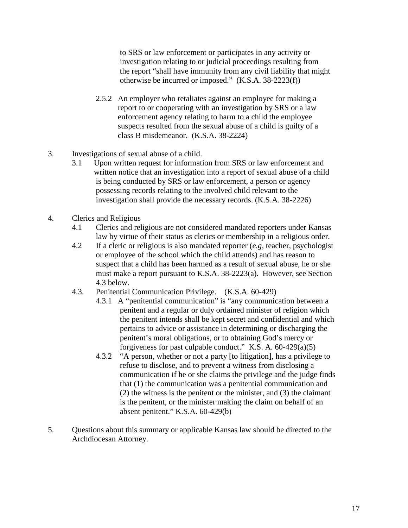to SRS or law enforcement or participates in any activity or investigation relating to or judicial proceedings resulting from the report "shall have immunity from any civil liability that might otherwise be incurred or imposed." (K.S.A. 38-2223(f))

- 2.5.2 An employer who retaliates against an employee for making a report to or cooperating with an investigation by SRS or a law enforcement agency relating to harm to a child the employee suspects resulted from the sexual abuse of a child is guilty of a class B misdemeanor. (K.S.A. 38-2224)
- 3. Investigations of sexual abuse of a child.
	- 3.1 Upon written request for information from SRS or law enforcement and written notice that an investigation into a report of sexual abuse of a child is being conducted by SRS or law enforcement, a person or agency possessing records relating to the involved child relevant to the investigation shall provide the necessary records. (K.S.A. 38-2226)
- 4. Clerics and Religious
	- 4.1 Clerics and religious are not considered mandated reporters under Kansas law by virtue of their status as clerics or membership in a religious order.
	- 4.2 If a cleric or religious is also mandated reporter (*e.g,* teacher, psychologist or employee of the school which the child attends) and has reason to suspect that a child has been harmed as a result of sexual abuse, he or she must make a report pursuant to K.S.A. 38-2223(a). However, see Section 4.3 below.
	- 4.3. Penitential Communication Privilege. (K.S.A. 60-429)
		- 4.3.1 A "penitential communication" is "any communication between a penitent and a regular or duly ordained minister of religion which the penitent intends shall be kept secret and confidential and which pertains to advice or assistance in determining or discharging the penitent's moral obligations, or to obtaining God's mercy or forgiveness for past culpable conduct." K.S. A. 60-429(a)(5)
		- 4.3.2 "A person, whether or not a party [to litigation], has a privilege to refuse to disclose, and to prevent a witness from disclosing a communication if he or she claims the privilege and the judge finds that (1) the communication was a penitential communication and (2) the witness is the penitent or the minister, and (3) the claimant is the penitent, or the minister making the claim on behalf of an absent penitent." K.S.A. 60-429(b)
- 5. Questions about this summary or applicable Kansas law should be directed to the Archdiocesan Attorney.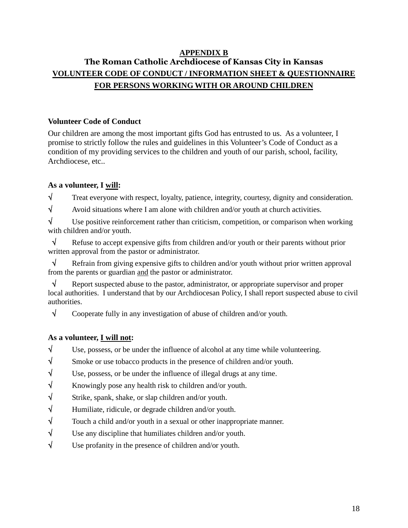# **APPENDIX B The Roman Catholic Archdiocese of Kansas City in Kansas VOLUNTEER CODE OF CONDUCT / INFORMATION SHEET & QUESTIONNAIRE FOR PERSONS WORKING WITH OR AROUND CHILDREN**

### **Volunteer Code of Conduct**

Our children are among the most important gifts God has entrusted to us. As a volunteer, I promise to strictly follow the rules and guidelines in this Volunteer's Code of Conduct as a condition of my providing services to the children and youth of our parish, school, facility, Archdiocese, etc..

### **As a volunteer, I will:**

 $\sqrt{\ }$  Treat everyone with respect, loyalty, patience, integrity, courtesy, dignity and consideration.

 $\sqrt{\phantom{a}}$  Avoid situations where I am alone with children and/or youth at church activities.

 $\sqrt{\phantom{a}}$  Use positive reinforcement rather than criticism, competition, or comparison when working with children and/or youth.

 $\sqrt{\phantom{a}}$  Refuse to accept expensive gifts from children and/or youth or their parents without prior written approval from the pastor or administrator.

 $\sqrt{\phantom{a}}$  Refrain from giving expensive gifts to children and/or youth without prior written approval from the parents or guardian and the pastor or administrator.

 $\sqrt{\phantom{a}}$  Report suspected abuse to the pastor, administrator, or appropriate supervisor and proper local authorities. I understand that by our Archdiocesan Policy, I shall report suspected abuse to civil authorities.

 $\sqrt{\phantom{a}}$  Cooperate fully in any investigation of abuse of children and/or youth.

# **As a volunteer, I will not:**

 $\sqrt{\phantom{a}}$  Use, possess, or be under the influence of alcohol at any time while volunteering.

- $\sqrt{\ }$  Smoke or use tobacco products in the presence of children and/or youth.
- $\sqrt{ }$  Use, possess, or be under the influence of illegal drugs at any time.
- $\sqrt{\ }$  Knowingly pose any health risk to children and/or youth.
- $\sqrt{\ }$  Strike, spank, shake, or slap children and/or youth.
- $\sqrt{\ }$  Humiliate, ridicule, or degrade children and/or youth.
- $\sqrt{\ }$  Touch a child and/or youth in a sexual or other inappropriate manner.
- $\sqrt{\phantom{a}}$  Use any discipline that humiliates children and/or youth.
- $\sqrt{\phantom{a}}$  Use profanity in the presence of children and/or youth.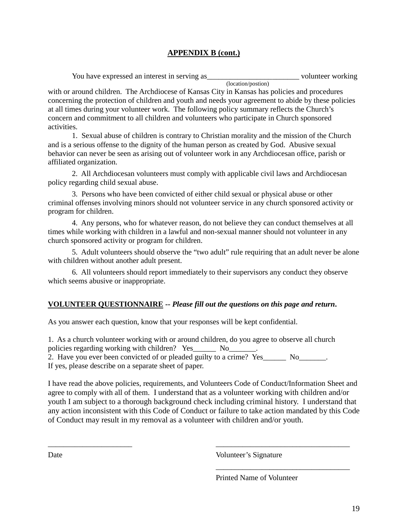## **APPENDIX B (cont.)**

| You have expressed an interest in serving as |                    | volunteer working |
|----------------------------------------------|--------------------|-------------------|
|                                              | (location/postion) |                   |

with or around children. The Archdiocese of Kansas City in Kansas has policies and procedures concerning the protection of children and youth and needs your agreement to abide by these policies at all times during your volunteer work. The following policy summary reflects the Church's concern and commitment to all children and volunteers who participate in Church sponsored activities.

1. Sexual abuse of children is contrary to Christian morality and the mission of the Church and is a serious offense to the dignity of the human person as created by God. Abusive sexual behavior can never be seen as arising out of volunteer work in any Archdiocesan office, parish or affiliated organization.

2. All Archdiocesan volunteers must comply with applicable civil laws and Archdiocesan policy regarding child sexual abuse.

3. Persons who have been convicted of either child sexual or physical abuse or other criminal offenses involving minors should not volunteer service in any church sponsored activity or program for children.

4. Any persons, who for whatever reason, do not believe they can conduct themselves at all times while working with children in a lawful and non-sexual manner should not volunteer in any church sponsored activity or program for children.

5. Adult volunteers should observe the "two adult" rule requiring that an adult never be alone with children without another adult present.

6. All volunteers should report immediately to their supervisors any conduct they observe which seems abusive or inappropriate.

#### **VOLUNTEER QUESTIONNAIRE --** *Please fill out the questions on this page and return***.**

As you answer each question, know that your responses will be kept confidential.

1. As a church volunteer working with or around children, do you agree to observe all church policies regarding working with children? Yes\_\_\_\_\_\_\_\_\_ No\_\_\_\_\_\_ 2. Have you ever been convicted of or pleaded guilty to a crime? Yes No If yes, please describe on a separate sheet of paper.

I have read the above policies, requirements, and Volunteers Code of Conduct/Information Sheet and agree to comply with all of them. I understand that as a volunteer working with children and/or youth I am subject to a thorough background check including criminal history. I understand that any action inconsistent with this Code of Conduct or failure to take action mandated by this Code of Conduct may result in my removal as a volunteer with children and/or youth.

\_\_\_\_\_\_\_\_\_\_\_\_\_\_\_\_\_\_\_\_\_\_ \_\_\_\_\_\_\_\_\_\_\_\_\_\_\_\_\_\_\_\_\_\_\_\_\_\_\_\_\_\_\_\_\_\_\_

Date Volunteer's Signature

Printed Name of Volunteer

\_\_\_\_\_\_\_\_\_\_\_\_\_\_\_\_\_\_\_\_\_\_\_\_\_\_\_\_\_\_\_\_\_\_\_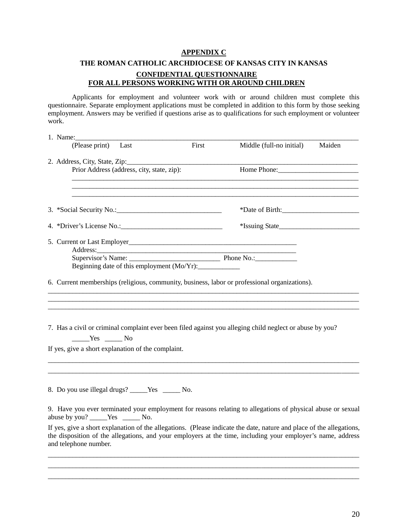#### **APPENDIX C**

# **THE ROMAN CATHOLIC ARCHDIOCESE OF KANSAS CITY IN KANSAS CONFIDENTIAL QUESTIONNAIRE FOR ALL PERSONS WORKING WITH OR AROUND CHILDREN**

Applicants for employment and volunteer work with or around children must complete this questionnaire. Separate employment applications must be completed in addition to this form by those seeking employment. Answers may be verified if questions arise as to qualifications for such employment or volunteer work.

| 1. Name:                                                                                                                                                                                                                                                     |       |                          |        |
|--------------------------------------------------------------------------------------------------------------------------------------------------------------------------------------------------------------------------------------------------------------|-------|--------------------------|--------|
| (Please print)<br>Last                                                                                                                                                                                                                                       | First | Middle (full-no initial) | Maiden |
| 2. Address, City, State, Zip:                                                                                                                                                                                                                                |       |                          |        |
| Prior Address (address, city, state, zip):                                                                                                                                                                                                                   |       | Home Phone:              |        |
|                                                                                                                                                                                                                                                              |       |                          |        |
|                                                                                                                                                                                                                                                              |       |                          |        |
|                                                                                                                                                                                                                                                              |       | *Issuing State           |        |
|                                                                                                                                                                                                                                                              |       |                          |        |
|                                                                                                                                                                                                                                                              |       |                          |        |
| Beginning date of this employment (Mo/Yr):                                                                                                                                                                                                                   |       |                          |        |
| 6. Current memberships (religious, community, business, labor or professional organizations).                                                                                                                                                                |       |                          |        |
|                                                                                                                                                                                                                                                              |       |                          |        |
|                                                                                                                                                                                                                                                              |       |                          |        |
|                                                                                                                                                                                                                                                              |       |                          |        |
| 7. Has a civil or criminal complaint ever been filed against you alleging child neglect or abuse by you?<br>$Yes$ No                                                                                                                                         |       |                          |        |
| If yes, give a short explanation of the complaint.                                                                                                                                                                                                           |       |                          |        |
|                                                                                                                                                                                                                                                              |       |                          |        |
|                                                                                                                                                                                                                                                              |       |                          |        |
| 8. Do you use illegal drugs? _____Yes ______No.                                                                                                                                                                                                              |       |                          |        |
| 9. Have you ever terminated your employment for reasons relating to allegations of physical abuse or sexual<br>abuse by you? _____Yes _______No.                                                                                                             |       |                          |        |
| If yes, give a short explanation of the allegations. (Please indicate the date, nature and place of the allegations,<br>the disposition of the allegations, and your employers at the time, including your employer's name, address<br>and telephone number. |       |                          |        |
|                                                                                                                                                                                                                                                              |       |                          |        |
|                                                                                                                                                                                                                                                              |       |                          |        |

 $\_$  ,  $\_$  ,  $\_$  ,  $\_$  ,  $\_$  ,  $\_$  ,  $\_$  ,  $\_$  ,  $\_$  ,  $\_$  ,  $\_$  ,  $\_$  ,  $\_$  ,  $\_$  ,  $\_$  ,  $\_$  ,  $\_$  ,  $\_$  ,  $\_$  ,  $\_$  ,  $\_$  ,  $\_$  ,  $\_$  ,  $\_$  ,  $\_$  ,  $\_$  ,  $\_$  ,  $\_$  ,  $\_$  ,  $\_$  ,  $\_$  ,  $\_$  ,  $\_$  ,  $\_$  ,  $\_$  ,  $\_$  ,  $\_$  ,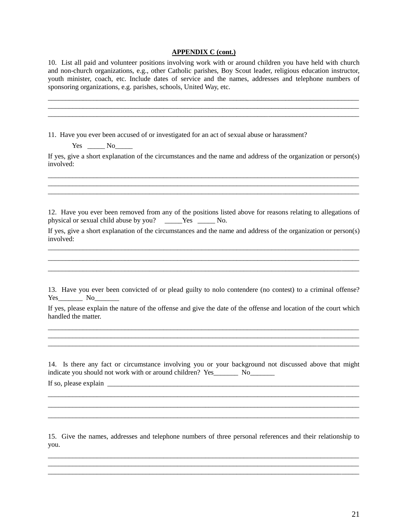#### **APPENDIX C (cont.)**

10. List all paid and volunteer positions involving work with or around children you have held with church and non-church organizations, e.g., other Catholic parishes, Boy Scout leader, religious education instructor, youth minister, coach, etc. Include dates of service and the names, addresses and telephone numbers of sponsoring organizations, e.g. parishes, schools, United Way, etc.

 $\_$  , and the state of the state of the state of the state of the state of the state of the state of the state of the state of the state of the state of the state of the state of the state of the state of the state of the  $\overline{\phantom{a}}$  , and the contribution of the contribution of the contribution of the contribution of the contribution of the contribution of the contribution of the contribution of the contribution of the contribution of the  $\_$  ,  $\_$  ,  $\_$  ,  $\_$  ,  $\_$  ,  $\_$  ,  $\_$  ,  $\_$  ,  $\_$  ,  $\_$  ,  $\_$  ,  $\_$  ,  $\_$  ,  $\_$  ,  $\_$  ,  $\_$  ,  $\_$  ,  $\_$  ,  $\_$  ,  $\_$  ,  $\_$  ,  $\_$  ,  $\_$  ,  $\_$  ,  $\_$  ,  $\_$  ,  $\_$  ,  $\_$  ,  $\_$  ,  $\_$  ,  $\_$  ,  $\_$  ,  $\_$  ,  $\_$  ,  $\_$  ,  $\_$  ,  $\_$  ,

11. Have you ever been accused of or investigated for an act of sexual abuse or harassment?

 $Yes \t\t\t No$ 

If yes, give a short explanation of the circumstances and the name and address of the organization or person(s) involved:

 $\_$  , and the state of the state of the state of the state of the state of the state of the state of the state of the state of the state of the state of the state of the state of the state of the state of the state of the  $\_$  , and the state of the state of the state of the state of the state of the state of the state of the state of the state of the state of the state of the state of the state of the state of the state of the state of the  $\_$  , and the contribution of the contribution of the contribution of the contribution of the contribution of  $\mathcal{L}_\text{max}$ 

12. Have you ever been removed from any of the positions listed above for reasons relating to allegations of physical or sexual child abuse by you? \_\_\_\_\_Yes \_\_\_\_\_ No.

If yes, give a short explanation of the circumstances and the name and address of the organization or person(s) involved:  $\_$  ,  $\_$  ,  $\_$  ,  $\_$  ,  $\_$  ,  $\_$  ,  $\_$  ,  $\_$  ,  $\_$  ,  $\_$  ,  $\_$  ,  $\_$  ,  $\_$  ,  $\_$  ,  $\_$  ,  $\_$  ,  $\_$  ,  $\_$  ,  $\_$  ,  $\_$  ,  $\_$  ,  $\_$  ,  $\_$  ,  $\_$  ,  $\_$  ,  $\_$  ,  $\_$  ,  $\_$  ,  $\_$  ,  $\_$  ,  $\_$  ,  $\_$  ,  $\_$  ,  $\_$  ,  $\_$  ,  $\_$  ,  $\_$  ,

 $\_$  ,  $\_$  ,  $\_$  ,  $\_$  ,  $\_$  ,  $\_$  ,  $\_$  ,  $\_$  ,  $\_$  ,  $\_$  ,  $\_$  ,  $\_$  ,  $\_$  ,  $\_$  ,  $\_$  ,  $\_$  ,  $\_$  ,  $\_$  ,  $\_$  ,  $\_$  ,  $\_$  ,  $\_$  ,  $\_$  ,  $\_$  ,  $\_$  ,  $\_$  ,  $\_$  ,  $\_$  ,  $\_$  ,  $\_$  ,  $\_$  ,  $\_$  ,  $\_$  ,  $\_$  ,  $\_$  ,  $\_$  ,  $\_$  , \_\_\_\_\_\_\_\_\_\_\_\_\_\_\_\_\_\_\_\_\_\_\_\_\_\_\_\_\_\_\_\_\_\_\_\_\_\_\_\_\_\_\_\_\_\_\_\_\_\_\_\_\_\_\_\_\_\_\_\_\_\_\_\_\_\_\_\_\_\_\_\_\_\_\_\_\_\_\_\_\_\_\_\_\_\_\_\_\_

13. Have you ever been convicted of or plead guilty to nolo contendere (no contest) to a criminal offense? Yes No

If yes, please explain the nature of the offense and give the date of the offense and location of the court which handled the matter.

 $\_$  , and the state of the state of the state of the state of the state of the state of the state of the state of the state of the state of the state of the state of the state of the state of the state of the state of the  $\_$  ,  $\_$  ,  $\_$  ,  $\_$  ,  $\_$  ,  $\_$  ,  $\_$  ,  $\_$  ,  $\_$  ,  $\_$  ,  $\_$  ,  $\_$  ,  $\_$  ,  $\_$  ,  $\_$  ,  $\_$  ,  $\_$  ,  $\_$  ,  $\_$  ,  $\_$  ,  $\_$  ,  $\_$  ,  $\_$  ,  $\_$  ,  $\_$  ,  $\_$  ,  $\_$  ,  $\_$  ,  $\_$  ,  $\_$  ,  $\_$  ,  $\_$  ,  $\_$  ,  $\_$  ,  $\_$  ,  $\_$  ,  $\_$  ,

14. Is there any fact or circumstance involving you or your background not discussed above that might indicate you should not work with or around children? Yes\_\_\_\_\_\_\_\_\_ No\_\_\_\_\_\_\_\_\_\_

 $\_$  ,  $\_$  ,  $\_$  ,  $\_$  ,  $\_$  ,  $\_$  ,  $\_$  ,  $\_$  ,  $\_$  ,  $\_$  ,  $\_$  ,  $\_$  ,  $\_$  ,  $\_$  ,  $\_$  ,  $\_$  ,  $\_$  ,  $\_$  ,  $\_$  ,  $\_$  ,  $\_$  ,  $\_$  ,  $\_$  ,  $\_$  ,  $\_$  ,  $\_$  ,  $\_$  ,  $\_$  ,  $\_$  ,  $\_$  ,  $\_$  ,  $\_$  ,  $\_$  ,  $\_$  ,  $\_$  ,  $\_$  ,  $\_$  ,  $\_$  ,  $\_$  ,  $\_$  ,  $\_$  ,  $\_$  ,  $\_$  ,  $\_$  ,  $\_$  ,  $\_$  ,  $\_$  ,  $\_$  ,  $\_$  ,  $\_$  ,  $\_$  ,  $\_$  ,  $\_$  ,  $\_$  ,  $\_$  ,  $\_$  ,  $\_$  ,  $\_$  ,  $\_$  ,  $\_$  ,  $\_$  ,  $\_$  ,  $\_$  ,  $\_$  ,  $\_$  ,  $\_$  ,  $\_$  ,  $\_$  ,  $\_$  ,  $\_$  ,  $\_$  ,  $\_$  ,  $\_$  ,  $\_$  ,  $\_$  ,  $\_$  ,  $\_$  ,  $\_$  ,  $\_$  ,  $\_$  ,  $\_$  ,  $\_$  ,  $\_$  ,  $\_$  ,  $\_$  ,  $\_$  ,  $\_$  ,  $\_$  ,  $\_$  ,  $\_$  ,  $\_$  ,  $\_$  ,  $\_$  ,  $\_$  ,  $\_$  ,  $\_$  ,  $\_$  ,  $\_$  ,  $\_$  ,  $\_$  ,  $\_$  ,  $\_$  ,  $\_$  ,  $\_$  ,  $\_$  ,  $\_$  ,  $\_$  ,  $\_$  ,  $\_$  ,  $\_$  ,  $\_$  ,

If so, please explain  $\Box$ 

15. Give the names, addresses and telephone numbers of three personal references and their relationship to you.

 $\_$  , and the state of the state of the state of the state of the state of the state of the state of the state of the state of the state of the state of the state of the state of the state of the state of the state of the

 $\_$  ,  $\_$  ,  $\_$  ,  $\_$  ,  $\_$  ,  $\_$  ,  $\_$  ,  $\_$  ,  $\_$  ,  $\_$  ,  $\_$  ,  $\_$  ,  $\_$  ,  $\_$  ,  $\_$  ,  $\_$  ,  $\_$  ,  $\_$  ,  $\_$  ,  $\_$  ,  $\_$  ,  $\_$  ,  $\_$  ,  $\_$  ,  $\_$  ,  $\_$  ,  $\_$  ,  $\_$  ,  $\_$  ,  $\_$  ,  $\_$  ,  $\_$  ,  $\_$  ,  $\_$  ,  $\_$  ,  $\_$  ,  $\_$  ,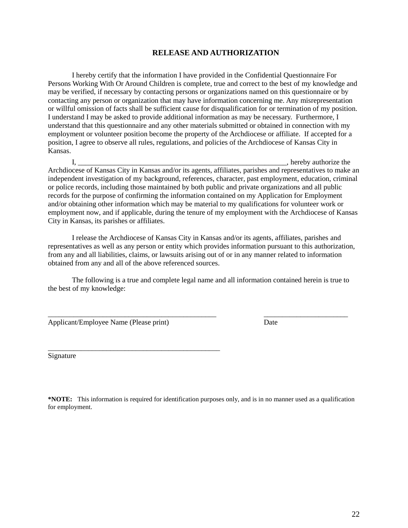#### **RELEASE AND AUTHORIZATION**

I hereby certify that the information I have provided in the Confidential Questionnaire For Persons Working With Or Around Children is complete, true and correct to the best of my knowledge and may be verified, if necessary by contacting persons or organizations named on this questionnaire or by contacting any person or organization that may have information concerning me. Any misrepresentation or willful omission of facts shall be sufficient cause for disqualification for or termination of my position. I understand I may be asked to provide additional information as may be necessary. Furthermore, I understand that this questionnaire and any other materials submitted or obtained in connection with my employment or volunteer position become the property of the Archdiocese or affiliate. If accepted for a position, I agree to observe all rules, regulations, and policies of the Archdiocese of Kansas City in Kansas.

I, \_\_\_\_\_\_\_\_\_\_\_\_\_\_\_\_\_\_\_\_\_\_\_\_\_\_\_\_\_\_\_\_\_\_\_\_\_\_\_\_\_\_\_\_\_\_\_\_\_\_\_\_\_\_\_\_\_, hereby authorize the Archdiocese of Kansas City in Kansas and/or its agents, affiliates, parishes and representatives to make an independent investigation of my background, references, character, past employment, education, criminal or police records, including those maintained by both public and private organizations and all public records for the purpose of confirming the information contained on my Application for Employment and/or obtaining other information which may be material to my qualifications for volunteer work or employment now, and if applicable, during the tenure of my employment with the Archdiocese of Kansas City in Kansas, its parishes or affiliates.

I release the Archdiocese of Kansas City in Kansas and/or its agents, affiliates, parishes and representatives as well as any person or entity which provides information pursuant to this authorization, from any and all liabilities, claims, or lawsuits arising out of or in any manner related to information obtained from any and all of the above referenced sources.

The following is a true and complete legal name and all information contained herein is true to the best of my knowledge:

\_\_\_\_\_\_\_\_\_\_\_\_\_\_\_\_\_\_\_\_\_\_\_\_\_\_\_\_\_\_\_\_\_\_\_\_\_\_\_\_\_\_\_\_\_\_ \_\_\_\_\_\_\_\_\_\_\_\_\_\_\_\_\_\_\_\_\_\_\_

Applicant/Employee Name (Please print) Date

\_\_\_\_\_\_\_\_\_\_\_\_\_\_\_\_\_\_\_\_\_\_\_\_\_\_\_\_\_\_\_\_\_\_\_\_\_\_\_\_\_\_\_\_\_\_\_

Signature

**\*NOTE:** This information is required for identification purposes only, and is in no manner used as a qualification for employment.